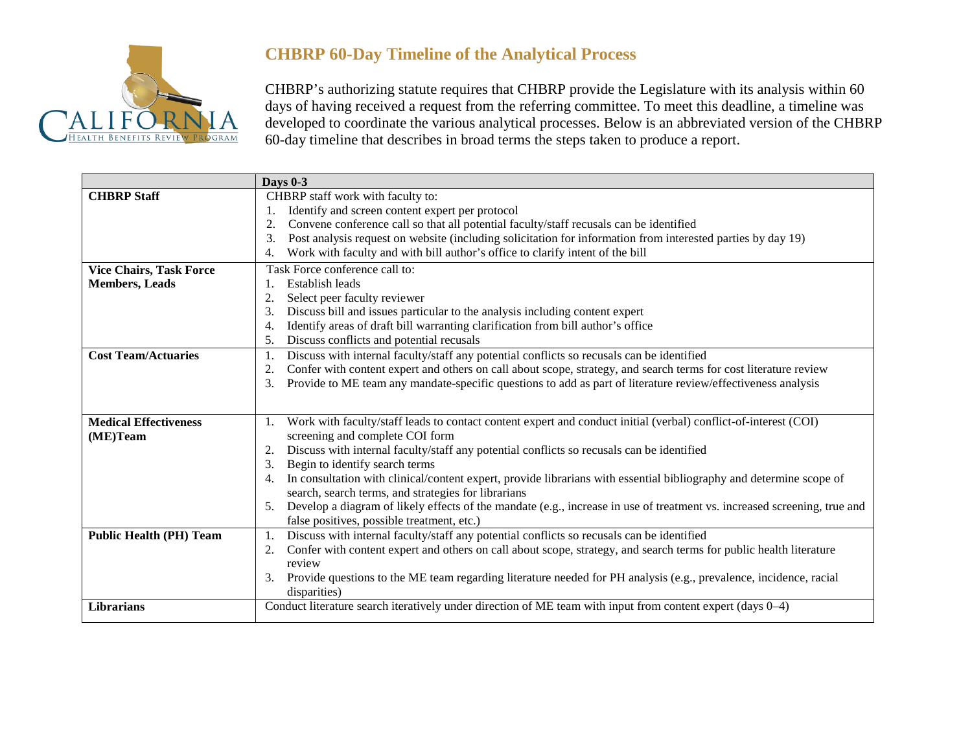

## **CHBRP 60-Day Timeline of the Analytical Process**

CHBRP's authorizing statute requires that CHBRP provide the Legislature with its analysis within 60 days of having received a request from the referring committee. To meet this deadline, a timeline was developed to coordinate the various analytical processes. Below is an abbreviated version of the CHBRP 60-day timeline that describes in broad terms the steps taken to produce a report.

|                                | <b>Days 0-3</b>                                                                                                                |
|--------------------------------|--------------------------------------------------------------------------------------------------------------------------------|
| <b>CHBRP</b> Staff             | CHBRP staff work with faculty to:                                                                                              |
|                                | Identify and screen content expert per protocol                                                                                |
|                                | Convene conference call so that all potential faculty/staff recusals can be identified<br>2.                                   |
|                                | Post analysis request on website (including solicitation for information from interested parties by day 19)<br>3.              |
|                                | Work with faculty and with bill author's office to clarify intent of the bill<br>4.                                            |
| <b>Vice Chairs, Task Force</b> | Task Force conference call to:                                                                                                 |
| <b>Members, Leads</b>          | Establish leads                                                                                                                |
|                                | Select peer faculty reviewer<br>2.                                                                                             |
|                                | Discuss bill and issues particular to the analysis including content expert                                                    |
|                                | Identify areas of draft bill warranting clarification from bill author's office<br>4.                                          |
|                                | Discuss conflicts and potential recusals<br>5.                                                                                 |
| <b>Cost Team/Actuaries</b>     | Discuss with internal faculty/staff any potential conflicts so recusals can be identified<br>1.                                |
|                                | Confer with content expert and others on call about scope, strategy, and search terms for cost literature review<br>2.         |
|                                | Provide to ME team any mandate-specific questions to add as part of literature review/effectiveness analysis<br>3.             |
|                                |                                                                                                                                |
| <b>Medical Effectiveness</b>   | Work with faculty/staff leads to contact content expert and conduct initial (verbal) conflict-of-interest (COI)                |
| (ME)Team                       | screening and complete COI form                                                                                                |
|                                | Discuss with internal faculty/staff any potential conflicts so recusals can be identified<br>2.                                |
|                                | Begin to identify search terms<br>3.                                                                                           |
|                                | In consultation with clinical/content expert, provide librarians with essential bibliography and determine scope of<br>4.      |
|                                | search, search terms, and strategies for librarians                                                                            |
|                                | Develop a diagram of likely effects of the mandate (e.g., increase in use of treatment vs. increased screening, true and<br>5. |
|                                | false positives, possible treatment, etc.)                                                                                     |
| <b>Public Health (PH) Team</b> | Discuss with internal faculty/staff any potential conflicts so recusals can be identified<br>1.                                |
|                                | Confer with content expert and others on call about scope, strategy, and search terms for public health literature             |
|                                | review                                                                                                                         |
|                                | Provide questions to the ME team regarding literature needed for PH analysis (e.g., prevalence, incidence, racial<br>3.        |
|                                | disparities)                                                                                                                   |
| <b>Librarians</b>              | Conduct literature search iteratively under direction of ME team with input from content expert (days 0–4)                     |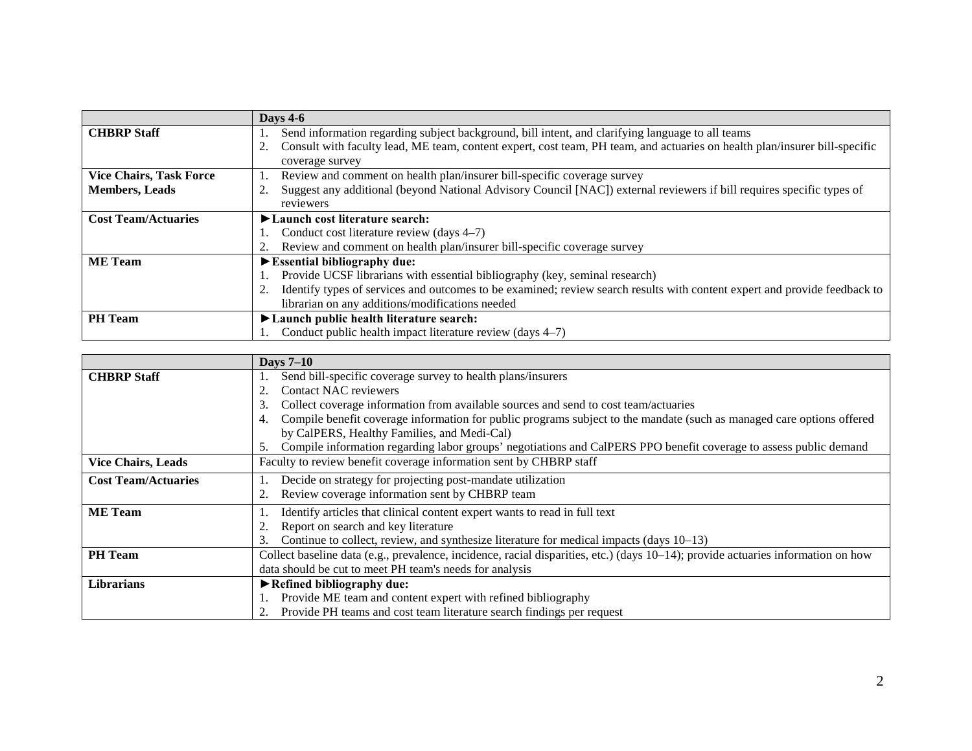|                                | Days $4-6$                                                                                                                                                                                                                                        |
|--------------------------------|---------------------------------------------------------------------------------------------------------------------------------------------------------------------------------------------------------------------------------------------------|
| <b>CHBRP</b> Staff             | Send information regarding subject background, bill intent, and clarifying language to all teams<br>Consult with faculty lead, ME team, content expert, cost team, PH team, and actuaries on health plan/insurer bill-specific<br>coverage survey |
| <b>Vice Chairs, Task Force</b> | Review and comment on health plan/insurer bill-specific coverage survey                                                                                                                                                                           |
| <b>Members, Leads</b>          | Suggest any additional (beyond National Advisory Council [NAC]) external reviewers if bill requires specific types of                                                                                                                             |
|                                | reviewers                                                                                                                                                                                                                                         |
| <b>Cost Team/Actuaries</b>     | $\blacktriangleright$ Launch cost literature search:                                                                                                                                                                                              |
|                                | Conduct cost literature review (days 4–7)                                                                                                                                                                                                         |
|                                | Review and comment on health plan/insurer bill-specific coverage survey                                                                                                                                                                           |
| <b>ME</b> Team                 | $\blacktriangleright$ Essential bibliography due:                                                                                                                                                                                                 |
|                                | Provide UCSF librarians with essential bibliography (key, seminal research)                                                                                                                                                                       |
|                                | Identify types of services and outcomes to be examined; review search results with content expert and provide feedback to                                                                                                                         |
|                                | librarian on any additions/modifications needed                                                                                                                                                                                                   |
| <b>PH</b> Team                 | ► Launch public health literature search:                                                                                                                                                                                                         |
|                                | Conduct public health impact literature review (days 4–7)                                                                                                                                                                                         |

|                            | <b>Days 7-10</b>                                                                                                                 |
|----------------------------|----------------------------------------------------------------------------------------------------------------------------------|
| <b>CHBRP</b> Staff         | Send bill-specific coverage survey to health plans/insurers                                                                      |
|                            | Contact NAC reviewers<br>2.                                                                                                      |
|                            | Collect coverage information from available sources and send to cost team/actuaries<br>3.                                        |
|                            | Compile benefit coverage information for public programs subject to the mandate (such as managed care options offered<br>4.      |
|                            | by CalPERS, Healthy Families, and Medi-Cal)                                                                                      |
|                            | Compile information regarding labor groups' negotiations and CalPERS PPO benefit coverage to assess public demand<br>5.          |
| <b>Vice Chairs, Leads</b>  | Faculty to review benefit coverage information sent by CHBRP staff                                                               |
| <b>Cost Team/Actuaries</b> | Decide on strategy for projecting post-mandate utilization                                                                       |
|                            | Review coverage information sent by CHBRP team                                                                                   |
| <b>ME</b> Team             | Identify articles that clinical content expert wants to read in full text                                                        |
|                            | Report on search and key literature                                                                                              |
|                            | Continue to collect, review, and synthesize literature for medical impacts (days 10–13)<br>3.                                    |
| <b>PH</b> Team             | Collect baseline data (e.g., prevalence, incidence, racial disparities, etc.) (days 10–14); provide actuaries information on how |
|                            | data should be cut to meet PH team's needs for analysis                                                                          |
| Librarians                 | $\blacktriangleright$ Refined bibliography due:                                                                                  |
|                            | Provide ME team and content expert with refined bibliography                                                                     |
|                            | Provide PH teams and cost team literature search findings per request                                                            |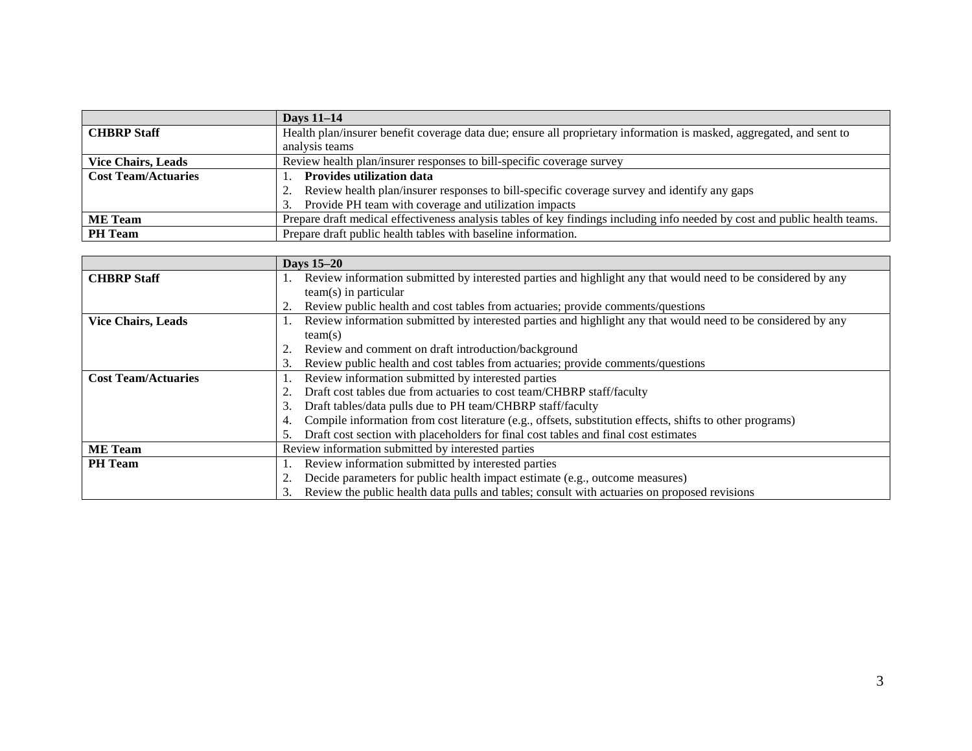|                            | <b>Days 11-14</b>                                                                                                          |
|----------------------------|----------------------------------------------------------------------------------------------------------------------------|
| <b>CHBRP</b> Staff         | Health plan/insurer benefit coverage data due; ensure all proprietary information is masked, aggregated, and sent to       |
|                            | analysis teams                                                                                                             |
| <b>Vice Chairs, Leads</b>  | Review health plan/insurer responses to bill-specific coverage survey                                                      |
| <b>Cost Team/Actuaries</b> | <b>Provides utilization data</b>                                                                                           |
|                            | Review health plan/insurer responses to bill-specific coverage survey and identify any gaps                                |
|                            | Provide PH team with coverage and utilization impacts                                                                      |
| <b>ME</b> Team             | Prepare draft medical effectiveness analysis tables of key findings including info needed by cost and public health teams. |
| <b>PH</b> Team             | Prepare draft public health tables with baseline information.                                                              |

|                            | <b>Days 15–20</b>                                                                                              |
|----------------------------|----------------------------------------------------------------------------------------------------------------|
| <b>CHBRP</b> Staff         | Review information submitted by interested parties and highlight any that would need to be considered by any   |
|                            | $team(s)$ in particular                                                                                        |
|                            | Review public health and cost tables from actuaries; provide comments/questions                                |
| <b>Vice Chairs, Leads</b>  | Review information submitted by interested parties and highlight any that would need to be considered by any   |
|                            | team(s)                                                                                                        |
|                            | Review and comment on draft introduction/background                                                            |
|                            | Review public health and cost tables from actuaries; provide comments/questions<br>3.                          |
| <b>Cost Team/Actuaries</b> | Review information submitted by interested parties                                                             |
|                            | Draft cost tables due from actuaries to cost team/CHBRP staff/faculty                                          |
|                            | Draft tables/data pulls due to PH team/CHBRP staff/faculty<br>3.                                               |
|                            | Compile information from cost literature (e.g., offsets, substitution effects, shifts to other programs)<br>4. |
|                            | Draft cost section with placeholders for final cost tables and final cost estimates                            |
| <b>ME</b> Team             | Review information submitted by interested parties                                                             |
| <b>PH</b> Team             | Review information submitted by interested parties                                                             |
|                            | Decide parameters for public health impact estimate (e.g., outcome measures)                                   |
|                            | Review the public health data pulls and tables; consult with actuaries on proposed revisions                   |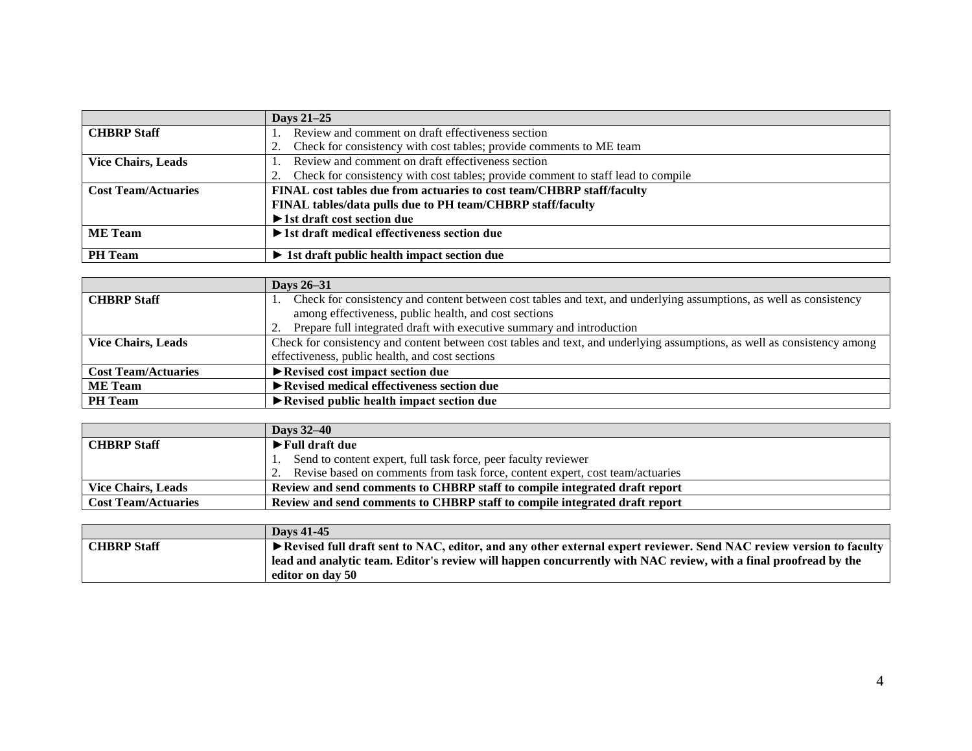|                            | Days 21-25                                                                       |
|----------------------------|----------------------------------------------------------------------------------|
| <b>CHBRP</b> Staff         | Review and comment on draft effectiveness section                                |
|                            | Check for consistency with cost tables; provide comments to ME team              |
| <b>Vice Chairs, Leads</b>  | Review and comment on draft effectiveness section                                |
|                            | Check for consistency with cost tables; provide comment to staff lead to compile |
| <b>Cost Team/Actuaries</b> | FINAL cost tables due from actuaries to cost team/CHBRP staff/faculty            |
|                            | FINAL tables/data pulls due to PH team/CHBRP staff/faculty                       |
|                            | $\blacktriangleright$ 1st draft cost section due                                 |
| <b>ME</b> Team             | $\blacktriangleright$ 1st draft medical effectiveness section due                |
|                            |                                                                                  |
| <b>PH</b> Team             | $\triangleright$ 1st draft public health impact section due                      |

|                            | <b>Days 26–31</b>                                                                                                        |
|----------------------------|--------------------------------------------------------------------------------------------------------------------------|
| <b>CHBRP</b> Staff         | Check for consistency and content between cost tables and text, and underlying assumptions, as well as consistency       |
|                            | among effectiveness, public health, and cost sections                                                                    |
|                            | Prepare full integrated draft with executive summary and introduction                                                    |
| <b>Vice Chairs, Leads</b>  | Check for consistency and content between cost tables and text, and underlying assumptions, as well as consistency among |
|                            | effectiveness, public health, and cost sections                                                                          |
| <b>Cost Team/Actuaries</b> | $\blacktriangleright$ Revised cost impact section due                                                                    |
| <b>ME</b> Team             | Revised medical effectiveness section due                                                                                |
| <b>PH</b> Team             | $\blacktriangleright$ Revised public health impact section due                                                           |

|                            | <b>Davs</b> 32–40                                                                |
|----------------------------|----------------------------------------------------------------------------------|
| <b>CHBRP</b> Staff         | $\blacktriangleright$ Full draft due                                             |
|                            | Send to content expert, full task force, peer faculty reviewer                   |
|                            | 2. Revise based on comments from task force, content expert, cost team/actuaries |
| <b>Vice Chairs, Leads</b>  | Review and send comments to CHBRP staff to compile integrated draft report       |
| <b>Cost Team/Actuaries</b> | Review and send comments to CHBRP staff to compile integrated draft report       |

|                    | <b>Days 41-45</b>                                                                                                           |
|--------------------|-----------------------------------------------------------------------------------------------------------------------------|
| <b>CHBRP Staff</b> | ► Revised full draft sent to NAC, editor, and any other external expert reviewer. Send NAC review version to faculty        |
|                    | $^{\prime}$ lead and analytic team. Editor's review will happen concurrently with NAC review, with a final proofread by the |
|                    | editor on dav 50                                                                                                            |